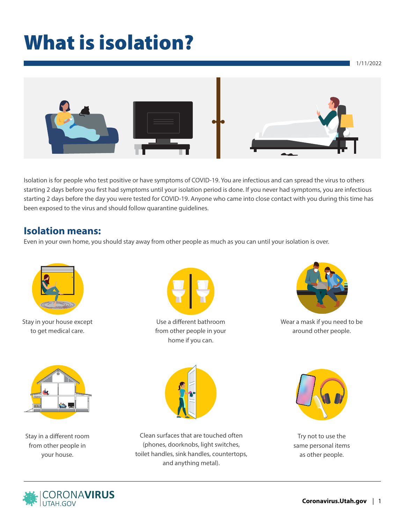# What is isolation?



Isolation is for people who test positive or have symptoms of COVID-19. You are infectious and can spread the virus to others starting 2 days before you first had symptoms until your isolation period is done. If you never had symptoms, you are infectious starting 2 days before the day you were tested for COVID-19. Anyone who came into close contact with you during this time has been exposed to the virus and should follow quarantine guidelines.

### **Isolation means:**

Even in your own home, you should stay away from other people as much as you can until your isolation is over.



Stay in your house except to get medical care.



Use a different bathroom from other people in your home if you can.



Wear a mask if you need to be around other people.



Stay in a different room from other people in your house.



Clean surfaces that are touched often (phones, doorknobs, light switches, toilet handles, sink handles, countertops, and anything metal).



Try not to use the same personal items as other people.